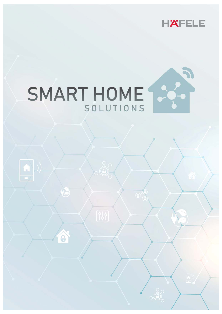



 $\left| \bigcap \right|$ 

 $\widehat{\boldsymbol{\theta}}$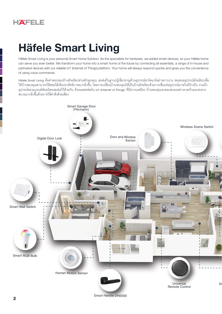# **Häfele Smart Living**

Häfele Smart Living is your personal Smart Home Solution. As the specialists for hardware, we added smart devices, so your Häfele home can serve you even better. We transform your home into a smart home of the future by connecting all essentials, a range of in-house and partnered devices with our reliable IoT (Internet of Things) platform. Your home will always respond quickly and gives you the convenience of using voice commands.

Häfele Smart Living คือคำตอบของบ้านอัจฉริยะส่วนตัวของคุณ เฮเฟเล่ในฐานะผู้เขี่ยวขาญด้านอุปกรณ์ฮาร์ดแวร์อย่างยาวนาน ขอเสนออุปกรณ์อัจฉริยะเพื่อ ให้บ้านของคุณสามารถใช้สอยได้เต็มประสิทธิภาพมากยิ่งขึ้น โดยการเปลี่ยนบ้านของคุณให้เป็นบ้านอัจฉริยะด้วยการเชื่อมต่ออุปกรณ์ภายในที่จำเป็น รวมถึง ้อุปกรณ์ของแบรนด์พันธมิตรเฮเฟเล่ไว้ด้วยกัน ด้วยแพลตฟอร์ม loT (Internet of Things) ที่มีความเสถียร บ้านของคุณจะตอบสนองอย่างรวดเร็วและสะดวก ู<br>สบายมากยิ่งขึ้นด้วยการใช้คำสั่งด้วยเสียง

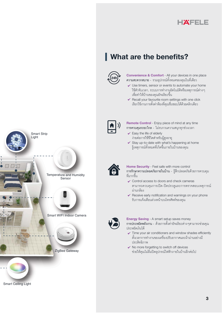

# **What are the benefits?**



**Convenience & Comfort** - All your devices in one place ่ ความสะดวกสบาย - รวมอุปกรณ์ทั้งหมดของคุณในที่เดียว

- ✔ Use timers, sensor or events to automate your home ใช้ตัวจับเวลา, ระบบการทำงานอัตโนมัติหรือเหตุการณ์ต่าง ๆ เพื่อทำให้บ้านของคุณอัจฉริยะขึ้น
- ✔ Recall your favourite room settings with one click เรียกใช้งานการตั้งค่าห้องที่คุณขึ่นขอบได้ด้วยคลิกเดียว



Remote Control - Enjoy piece of mind at any time การควบคุมระยะไกล - ไม่รบกวนความสนุกทุกช่วงเวลา

- $\checkmark$  Easy the life of elderly ง่ายต่อการใช้ชีวิตสำหรับผู้สูงอายุ
- ✔ Stay up-to-date with what's happening at home รู้เหตุการณ์ทั้งหมดที่เกิดขึ้นภายในบ้านของคุณ



Home Security - Feel safe with more control การรักษาความปลอดภัยภายในบ้าน - รู้สึกปลอดภัยด้วยการควบคุม ที่มากขึ้น

- ✔ Control access to doors and check cameras สามารถควบคุมการเปิด-ปิดประตูและการตรวจสอบเหตุการณ์ ผ่านกล้อง
- ► Receive early notification and warnings on your phone รับการแจ้งเตือนล่วงหน้าบนโทรศัพท์ของคุณ



**Energy Saving - A smart setup saves money** การประหยัดพลังงาน - ด้วยการตั้งค่าอัจฉริยะต่าง ๆสามารถข่วยคุณ ประหยัดเงินได้

- ✔ Time your air conditioners and window shades efficiently ตั้งเวลาการทำงานของเครื่องปรับอากาศและผ้าม่านอย่างมี ประสิทธิกาพ
- ✔ No more forgetting to switch off devices ช่วยให้คุณไม่ลืมปิดอุปกรณ์ไฟฟ้าภายในบ้านอีกต่อไป



**Smart Ceiling Light**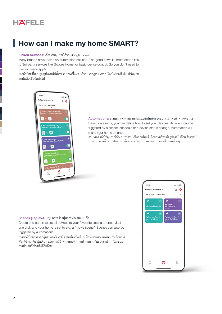# How can I make my home SMART?

### Linked Services: เขื่อมต่ออุปกรณ์ด้วย Google Home

Many brands have their own automation solution. The good news is, most offer a link to 3rd party services like Google Home for basic device control. So you don't need to use too many app's.

ิสมาร์ทโฮมที่ควบคุมอุปกรณ์ได้ทั้งหมด การเขื่อมต่อด้วย Google Home โดยไม่จำเป็นต้องใช้หลาย แอปพลิเคชันอีกต่อไป



Automations: ระบบการทำงานร่วมกันแบบอัตโนมัติของอุปกรณ์ โดยกำหนดเงื่อนไข Based on events, you can define how to set your devices. An event can be triggered by a sensor, schedule or a device status change. Automation will make your home smarter.

่ สามารถตั้งค่าให้อุปกรณ์ต่าง ๆ ทำงานได้โดยอัตโนมัติ โดยการเขื่อมต่ออุปกรณ์ไว้ด้วยเซ็นเซอร์, การระบุเวลาที่ต้องการให้อุปกรณ์ทำงานหรือการเปลี่ยนสถานะของเซ็นเซอร์ต่าง ๆ

### Scenes (Tap-to-Run): การสร้างปุ่มการทำงานแบบลัด

Create one button to set all devices to your favourite setting at once. Just one click and your home is set to e.g. a "movie scene". Scenes can also be triggered by automations.

ึการตั้งค่าโดยการจัดกลุ่มอุปกรณ์ต่างขนิดกันหรือขนิดเดียวให้สามารถทำงานพร้อมกัน โดยการ เรียกใช้งานเพียงปุ่มเดียว นอกจากนี้ยังสามารถสร้างการทำงานร่วมกับอุปกรณ์อื่นๆ ในระบบ การทำงานอัตโนมัติได้อีกด้วย

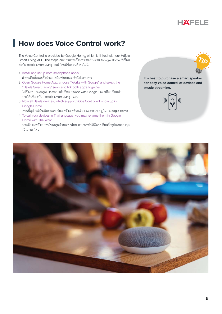

# **How does Voice Control work?**

The Voice Control is provided by Google Home, which is linked with our Häfele Smart Living APP. The steps are: สามารถสั่งการด้วยเสียงผ่าน Google Home ที่เขื่อม ต่อกับ Häfele Smart Living แอป โดยมีขั้นตอนดังต<sup>่</sup>อไปนี้

- 1. Install and setup both smartphone app's ทำการติดตั้งและตั้งค่าแอปพลิเคขันบนสมาร์ทโฟนของคุณ
- 2. Open Google Home App, choose "Works with Google" and select the "Häfele Smart Living" service to link both app's together. ไปยังแอป "Google Home″ แล้วเลือก "Works with Google″ และเลือกเขื่อมต่อ<br>การให้บริการกับ "Häfele Smart Living″ แอป
- 3. Now all Häfele devices, which support Voice Control will show up in Google Home
- ี ตอนนี้อุปกรณ์อัจฉริยะจะรองรับการสั่งการด้วยเสียง และจะปรากฦใน "Google Home" 4. To call your devices in Thai language, you may rename them in Google
	- Home with Thai word. ่ หากต้องการสั่งอุปกรณ์ของคุณด้วยภาษาไทย สามารถทำได้โดยเปลี่ยนชื่ออุปกรณ์ของคุณ<br>เป็นภาษาไทย



**It's best to purchase a smart speaker for easy voice control of devices and music streaming.**

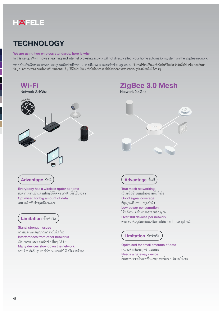# **TECHNOLOGY**

### We are using two wireless standards, here is why

In this setup Wi-Fi movie streaming and internet browsing activity will not directly affect your home automation system on the ZigBee network.

ระบบบ้านอัจฉริยะของ Häfele จะอยู่บนเครือข่ายไร้สาย 2 แบบคือ Wi-Fi และเครือข่าย ZigBee 3.0 ซึ่งการใช้งานอินเทอร์เน็ตในชีวิตประจำวันทั่วไป เช่น การค้นหา ข้อมูล, การถ่ายทอดสดหรือการรับชมภาพยนต์ / วีดีโอผ่านอินเทอร์เน็ตโดยตรงจะไม่ส่งผลต่อการทำงานของอุปกรณ์อัตโนมัติต่างๆ



Optimised for small amounts of data เหมาะสำหรับข้อมูลจำนวนน้อย Needs a gateway device ์ ต้องการเกตเวย์ในการเชื่อมต่ออุปกรณ์ต่าง ๆ ในการใชงาน

Many devices slow down the network

การเขื่อมต่อกับอุปกรณ์จำนวนมากทำให้เครือข่ายข้าลง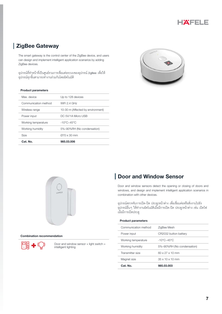

### **ZigBee Gateway**

The smart gateway is the control center of the ZigBee device, and users can design and implement intelligent application scenarios by adding ZigBee devices.

้อุปกรณ์ที่ทำหน้าที่เป็นศูนย์รวมการเชื่อมต่อระบบของอุปกรณ์ ZigBee เพื่อให้ ้อุปกรณ์ทุกขึ้นสามารถทำงานร่วมกันโดยอัตโนมัติ

### **Product parameters**

| Cat. No.             | 985.03.006                        |
|----------------------|-----------------------------------|
| <b>Size</b>          | $Q70 \times 30$ mm                |
| Working humidity     | 5%-90%RH (No condensation)        |
| Working temperature  | $-10^{\circ}$ C~45°C              |
| Power input          | DC 5V/1A Micro USB                |
| Wireless range       | 10-30 m (Affected by environment) |
| Communication method | WiFi $2.4$ GHz                    |
| Max. device          | Up to 128 devices                 |
|                      |                                   |





#### **Combination recommendation**



Door and window sensor  $+$  light switch  $=$ intelligent lighting

### Door and Window Sensor

Door and window sensors detect the opening or closing of doors and windows, and design and implement intelligent application scenarios in combination with other devices.

อุปกรณ์ตรวจจับการเปิด-ปิด ประตู/หน้าต่าง เพื่อเขื่อมต่อหรือสั่งงานไปยัง ์ อุปกรณ์อื่น ๆ ให้ทำงานอัตโนมัติเมื่อมีการเปิด-ปิด ประตู/หน้าต่าง เช่น เปิดไฟ ้เมื่อมีการเปิดประตู

| 985.03.003                             |
|----------------------------------------|
| $35 \times 10 \times 10$ mm            |
| $60 \times 27 \times 10$ mm            |
| 5%-90%RH (No condensation)             |
| $-10^{\circ}$ C $\sim$ 45 $^{\circ}$ C |
| CR2032 button battery                  |
| ZigBee Mesh                            |
|                                        |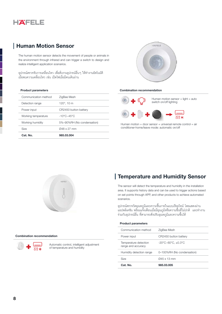

### **Human Motion Sensor**

The human motion sensor detects the movement of people or animals in the environment through infrared and can trigger a switch to design and realize intelligent application scenarios.

้ อุปกรณ์ตรวจจับการเคลื่อนไหว เพื่อสั่งงานอุปกรณ์อื่นๆ ให้ทำงานอัตโนมัติ ้เมื่อพบความเคลื่อนไหว เช่น เปิดไฟเมื่อมีคนเดินผ่าน

### **Product parameters**

| Cat. No.             | 985.03.004                             |
|----------------------|----------------------------------------|
| <b>Size</b>          | 048 x 27 mm                            |
| Working humidity     | 5%-90%RH (No condensation)             |
| Working temperature  | $-10^{\circ}$ C $\sim$ 45 $^{\circ}$ C |
| Power input          | CR2450 button battery                  |
| Detection range      | 120 $^{\circ}$ , 10 m                  |
| Communication method | ZigBee Mesh                            |
|                      |                                        |



#### **Combination recommendation**



Human motion + door sensor + universal remote control = air conditioner-home/leave mode: automatic on/off



#### **Combination recommendation**



Automatic control, intelligent adjustment of temperature and humidity

### Temperature and Humidity Sensor

The sensor will detect the temperature and humidity in the installation area. It supports history data and can be used to trigger actions based on set points through APP, and other products to achieve automated scenarios.

์ อุปกรณ์ตรวจวัดอุณหภูมิและความขึ้นภายในแบบเรียลไทม์ โดยแสดงผ่าน ู<br>แอปพลิเคชัน พร้อมแจ้งเตือนเมื่อมีอุณภูมิหรือความขึ้นที่ไม่ปกติ และทำงาน ้ร่วมกับอุปกรณ์อื่น ที่สามารถสั่งปรับอุณหภูมิและความขึ้นได้

| $O$ 45 x 13 mm                                       |
|------------------------------------------------------|
| 0-100%RH (No condensation)                           |
| $-20^{\circ}$ C $-60^{\circ}$ C. $\pm 0.3^{\circ}$ C |
| CR2450 button battery                                |
| ZigBee Mesh                                          |
|                                                      |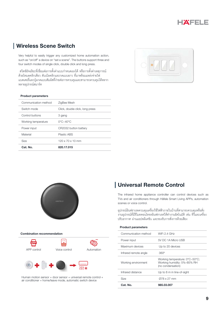

### **Wireless Scene Switch**

Very helpful to easily trigger any customized home automation action, such as "on/off" a device on "set a scene". The buttons support three and four switch modes of single click, double click and long press.

้สวิตซ์อัจฉริยะที่เขื่อมต่อการตั้งค่าแบบกำหนดเองได้ หรือการตั้งค่าเหตุการณ์ ้ด้วยโหมดคลิกเดียว ดับเบิลคลิกและกดแบบยาว ที่มาพร้อมแหล่งจ่ายไฟ แบตเตอรี่และปุ่มกดแบบสัมผัสที่ง่ายต่อการควบคุมและสามารถควบคุมได้หลาก หลายอุปกรณ์สมาร์ท

### **Product parameters**

| Cat. No.             | 820.17.015                      |
|----------------------|---------------------------------|
| Size                 | $120 \times 70 \times 10$ mm    |
| Material             | Plastic ABS                     |
| Power input          | CR2032 button battery           |
| Working temperature  | $0^{\circ}$ C~40 $^{\circ}$ C   |
| Control buttons      | 3 gang                          |
| Switch mode          | Click, double click, long press |
| Communication method | ZigBee Mesh                     |
|                      |                                 |





#### **Combination recommendation**



Human motion sensor + door sensor + universal remote control + air conditioner = home/leave mode, automatic switch device

### Universal Remote Control

The infrared home appliance controller can control devices such as TVs and air conditioners through Häfele Smart Living APPs, automation scenes or voice control.

อุปกรณ์อินฟราเรดควบคุมเครื่องใช้ไฟฟ้าภายในบ้านที่สามารถควบคุมหรือสั่ง ึ่งานอปกรณ์ที่มีรีโมทคอนโทรลอินฟราเรดให้ทำงานอัตโนมัติ เข่น ทีวีและเครื่อง ปรับอากาศ ผ่านแอปพลิเคขัน และรองรับการสั่งการด้วยเสียง

| Cat. No.              | 985.03.007                                                                         |
|-----------------------|------------------------------------------------------------------------------------|
| Size                  | 078 x 27 mm                                                                        |
| Infrared distance     | Up to 8 m in line-of-sight                                                         |
| Working environment   | Working temperature: 0°C~50°C;<br>Working humidity: 5%-85% RH<br>(no condensation) |
| Infrared remote angle | $360^\circ$                                                                        |
| Maximum devices       | Up to 20 devices                                                                   |
| Power input           | 5V DC 1A Micro USB                                                                 |
| Communication method  | WiFi 2.4 GHz                                                                       |
|                       |                                                                                    |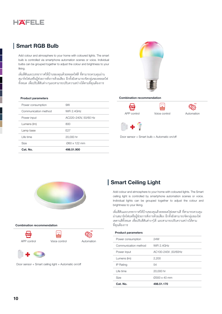

### **Smart RGB Bulb**

Add colour and atmosphere to your home with coloured lights. The smart bulb is controlled via smartphone automation scenes or voice. Individual bulbs can be grouped together to adjust the colour and brightness to your liking.

้เพิ่มสีสันและบรรยากาศให้บ้านของคุณด้วยหลอดไฟสี ที่สามารถควบคุมผ่าน ้ สมาร์ทโฟนหรือผู้ช่วยการสั่งการด้วยเสียง อีกทั้งยังสามารถจัดกลุ่มของหลอดไฟ ี ทั้งหมด เพื่อปรับสีสันต่างๆและสามารถปรับความสว่างได้ตามที่คุณต้องการ

#### **Product parameters**

| Power consumption    | 9W                   |
|----------------------|----------------------|
| Communication method | WiFi 2.4GHz          |
| Power input          | AC220-240V, 50/60 Hz |
| Lumens (Im)          | 800                  |
| Lamp base            | F <sub>27</sub>      |
| Life time            | 20,000 hr            |
| Size                 | 060 x 122 mm         |
| Cat. No.             | 498.51.900           |



### **Combination recommendation**











#### **Combination recommendation**

**API** 







Door sensor + Smart ceiling light = Automatic on/off

### **Smart Ceiling Light**

Add colour and atmosphere to your home with coloured lights. The Smart ceiling light is controlled by smartphone automation scenes or voice. Individual lights can be grouped together to adjust the colour and brightness to your liking.

้ เพิ่มสีสันและบรรยากาศให้บ้านของคุณด้วยหลอดไฟเพดานสี ที่สามารถควบคุม เม่านสมาร์ทโฟนหรือผู้ช่วยการสั่งการด้วยเสียง อีกทั้งยังสามารถจัดกลุ่มของไพ่ ี เพดานสีทั้งหมด เพื่อปรับสีสันต่างๆได้ และสามารถปรับความสว่างได้ตาม ที่คุณต้องการ

| <b>Product parameters</b> |                     |
|---------------------------|---------------------|
| Power consumption         | 24W                 |
| Communication method      | WiFi 2.4GHz         |
| Power input               | AC100-240V,50/60Hz  |
| Lumens (Im)               | 2,200               |
| IP Rating                 | 54                  |
| I ife time                | 20,000 hr           |
| <b>Size</b>               | $Q300 \times 40$ mm |
| Cat. No.                  | 498.51.170          |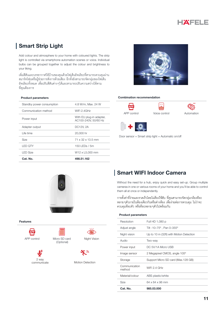

### **Smart Strip Light**

Add colour and atmosphere to your home with coloured lights. The strip light is controlled via smartphone automation scenes or voice. Individual bulbs can be grouped together to adjust the colour and brightness to your liking.

้ เพิ่มสีสันและบรรยากาศให้บ้านของคุณด้วยไฟเส้นอัจฉริยะที่สามารถควบคุมผ่าน ่ สมาร์ทโฟนหรือผู้ข่วยการสั่งการด้วยเสียง อีกทั้งยังสามารถจัดกลุ่มของไฟเส้น ้อัจฉริยะทั้งหมด เพื่อปรับสีสันต่าง ๆได้และสามารถปรับความสว่างได้ตาม ที่คุณต้องการ

#### **Product parameters**

| Cat. No.                  | 498.51.162                                       |
|---------------------------|--------------------------------------------------|
| LED Size                  | W12 x L5,000 mm                                  |
| LED OTY                   | 150 LEDs $/$ 5m                                  |
| <b>Size</b>               | $71 \times 32 \times 13.5$ mm                    |
| I ife time                | 20,000 hr                                        |
| Adapter output            | <b>DC12V.2A</b>                                  |
| Power input               | With EU plug-in adapter,<br>AC100-240V, 50/60 Hz |
| Communication method      | WiFi 2.4GHz                                      |
| Standby power consumption | 4.8 W/m. Max. 24 W                               |
|                           |                                                  |



#### **Combination recommendation**











**Features** 

**ABP** APP control



Micro SD card (Optional)

2 way communicate





Motion Detection

### **Smart WIFI Indoor Camera**

Without the need for a hub, enjoy quick and easy set-up. Group multiple cameras in one or various rooms of your home and you'll be able to control them all at once or independently.

การตั้งค่าที่ง่ายและรวดเร็วโดยไม่ต้องใช้ฮับ ที่คุณสามารถจัดกลุ่มกล้องทีละ หลาย ๆตัวภายในห้องเดียวกันหรือต่างห้อง เพื่อง่ายต่อการควบคุม ไม่ว่าจะ ควบคุมทีละตัว หรือทีละหลายๆตัวไปพร้อมกัน

| <b>Product parameters</b> |                                         |
|---------------------------|-----------------------------------------|
| Resolution                | Full HD 1,080 p                         |
| Adjust angle              | Tilt -10-75°, Pan 0-355°                |
| Night vision              | Up to 10 m (32ft) with Motion Detection |
| Audio                     | Two-way                                 |
| Power input               | DC 5V/1A Micro USB                      |
| Image sensor              | 2 Megapixel CMOS, angle 105°            |
| Storage                   | Support Micro SD card (Max.128 GB)      |
| Communication<br>method   | WiFi 2.4 GHz                            |
| Material/colour           | ABS plastic/white                       |
| Size                      | 64 x 64 x 96 mm                         |
| Cat. No.                  | 985.03.000                              |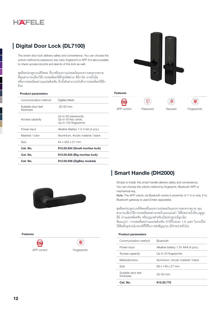

### **Digital Door Lock (DL7100)**

The smart door lock delivers safety and convenience. You can choose the unlock method by password, key card, fingerprint or APP. It is also possible to check access records and alarms of this lock as well.

ชุดล็อคประตูระบบดิจิตอล ที่มาพร้อมความปลอดภัยและความสะดวกสบาย ที่คุณสามารถเลือกวิธีการปลดล็อคได้ด้วยรหัสผ่าน คีย์การ์ด ลายนิ้วมือ หรือการปลดล็อคผ่านแอปพลิเคชัน อีกทั้งยังสามารถบันทึกการปลดล็อคได้อีก ด้วย

#### **Product parameters**

| Cat. No.                        | 912.05.938 (ZigBee module)                                           |
|---------------------------------|----------------------------------------------------------------------|
| Cat. No.                        | 912.05.935 (Big mortise lock)                                        |
| Cat. No.                        | 912.05.934 (Small mortise lock)                                      |
| Size                            | 64 x 283 x 27 mm                                                     |
| Material / color                | Aluminium, Acrylic material / black                                  |
| Power input                     | Alkaline Battery 1.5 V AA (4 pcs.)                                   |
| Access capacity                 | Up to 50 passwords,<br>Up to 50 key cards,<br>Up to 100 fingerprints |
| Suitable door leaf<br>thickness | $35 - 50$ mm                                                         |
| Communication method            | ZigBee Mesh                                                          |
|                                 |                                                                      |



#### **Features**



Password

圆

Keycard



### **Smart Handle (DH2000)**

Simple to install, this smart handle delivers safety and convenience. You can choose the unlock method by fingerprint, Bluetooth APP or mechanical key.

Note: The APP unlock via Bluetooth works in proximity of 1-5 m only, if no Bluetooth gateway is used (Order separately).

ขุดล็อคประตูระบบดิจิตอลที่มอบความปลอดภัยและความสะดวกสบาย คุณ สามารถเลือกวิธีการปลดล็อคอย่างรวดเร็วและแม่นยำ ได้ด้วยลายนิ้วมือ,บลูทูธ คีย์ ผ่านแอปพลิเคชัน หรือกุญแจสำหรับเปิดประตูกรณีฉุกเฉิน ข้อแนะนำ: การปลดล็อคผ่านแอปพลิเคชัน ทำได้ในระยะ 1-5 เมตร ในกรณีไม่ ได้ติดตั้งอุปกรณ์เกตเวย์ที่ใช้ในการส่งสัญญาณ (มีจำหน่ายทั่วไป)

### **Product parameters**

| Cat. No.                        | 912.20.770                          |
|---------------------------------|-------------------------------------|
| Suitable door leaf<br>thickness | $32 - 50$ mm                        |
| <b>Size</b>                     | 69 x 149 x 27 mm                    |
| Material/colour                 | Aluminium, Acrylic material / black |
| Access capacity                 | Up to 20 fingerprints               |
| Power input                     | Alkaline battery 1.5V AAA (4 pcs.)  |
| Communication method            | <b>Bluetooth</b>                    |
|                                 |                                     |



**Features** 



Fingerprints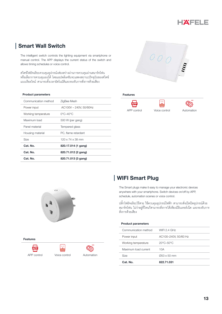

### **Smart Wall Switch**

The intelligent switch controls the lighting equipment via smartphone or manual control. The APP displays the current status of the switch and allows timing schedules or voice control.

สวิตข์ไฟอัจฉริยะควบคุมอุปกรณ์งส่องสว่างผ่านการควบคุมผ่านสมาร์ทโฟน หรือเลือกการควบคุมเองได้ โดยแอปพลิเคขันจะแสดงสถานะปัจจุบันของสวิตข์ แบบเรียลไทม์ สามารถตั้งเวลาอัตโนมัติและรองรับการสั่งการด้วยเสียง

#### **Product parameters**

| Cat. No.             | 820.71.013 (3 gang)           |
|----------------------|-------------------------------|
| Cat. No.             | 820.71.012 (2 gang)           |
| Cat. No.             | 820.17.014 (1 gang)           |
| <b>Size</b>          | $120 \times 74 \times 38$ mm  |
| Housing material     | PC, flame retardant           |
| Panel material       | Tempered glass                |
| Maximum load         | 500 W (per gang)              |
| Working temperature  | $0^{\circ}$ C-40 $^{\circ}$ C |
| Power input          | AC100V - 240V, 50/60Hz        |
| Communication method | ZigBee Mesh                   |
|                      |                               |



#### **Features**



Voice control





Features

**APP** APP control





### **WIFI Smart Plug**

The Smart plugs make it easy to manage your electronic devices anywhere with your smartphone. Switch devices on/off by APP, schedule, automation scenes or voice control.

ปลั๊กไฟอัจฉริยะไร้สาย ใช้ควบคุมอุปกรณ์ไฟฟ้า สามารถสั่งเปิดปิดอุปกรณ์ด้วย ่ สมาร์ทโฟน ไม่ว่าอยู่ที่ไหนก็สามารถสั่งการได้เพียงมีอินเทอร์เน็ต และรองรับการ สั่งการด้วยเสียง

| Cat. No.             | 822.71.031                     |
|----------------------|--------------------------------|
| Size                 | $\varnothing$ 53 x 50 mm       |
| Maximum load current | 10A                            |
| Working temperature  | $20^{\circ}$ C-50 $^{\circ}$ C |
| Power input          | AC100-240V, 50/60 Hz           |
| Communication method | <b>WIFI 2.4 GHz</b>            |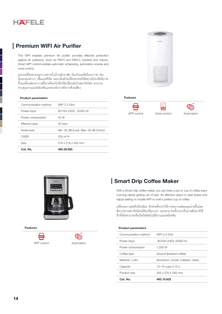

### **Premium WIFI Air Purifier**

This WIFI enabled premium Air purifier provides effective protection against air pollutions. Such as PM10 and PM2.5, bacteria and odours. Smart APP control enables automatic scheduling, automation scenes and voice control.

้อุปกรณ์ที่ช่วยกรองอากาศภายในบ้านพักอาศัย ป้องกันมลพิษในอากาศ เช่น ้ฝุ่นละอองต่างๆ เขื้อแบคทีเรีย และกลิ่นอันไม่พึงประสงค์ได้อย่างมีประสิทธิภาพ ้ด้วยเครื่องฟอกอากาศที่มาพร้อมกับฟังก์ขันเขื่อมต่อกับสมาร์ทโฟน สามารถ ควบคุมผ่านแอปพลิเคชันและรองรับการสั่งการด้วยเสียง

#### **Product parameters**

| Cat. No.             | 495.38.995                           |
|----------------------|--------------------------------------|
| <b>Size</b>          | 218 x 218 x 450 mm                   |
| CADR                 | $230 \text{ m}^3/h$                  |
| Noise level          | Min. 30 dB (Low), Max. 58 dB (Turbo) |
| Effective area       | 30 sam                               |
| Power consumption    | 45 W                                 |
| Power input          | AC100-240V, 50/60 Hz                 |
| Communication method | WIFI $2.4$ GHz                       |



### **Features**









**Features** 

APP control



### **Smart Drip Coffee Maker**

With a Smart drip coffee maker, you can brew a pot or cup of coffee every morning before getting out of bed. An effective option to start brews and adjust setting on mobile APP to craft a perfect cup of coffee.

้เครื่องขงกาแฟดริปอัจฉริยะ ตัวข่วยที่จะทำให้การขงกาแฟของคุณง่ายขึ้นโดย ์ สั่งการผ่านสมาร์ทโฟนได้ทุกที่ทุกเวลา และสามารถตั้งเวลาเป็นรายสัปดาห์ได้ ้กีกทั้งยังสามารถสั่งเปิดปิดวัตโนมัติผ่านแกปพลิเคขัน

| Cat. No.             | 495.19.602                          |
|----------------------|-------------------------------------|
| Product size         | 205 x 225 x 345 mm                  |
| Capacity             | 12–15 cups (1.8 L)                  |
| Material / color     | Aluminium, Acrylic material / black |
| Coffee type          | Ground (brewed coffee)              |
| Power consumption    | 1.000 W                             |
| Power input          | AC220-240V, 50/60 Hz                |
| Communication method | WIFL $2.4$ GHz                      |
|                      |                                     |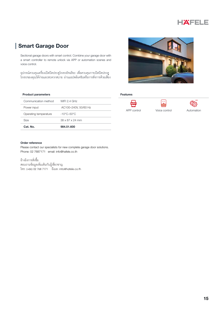### **Smart Garage Door**

Sectional garage doors with smart control. Combine your garage door with a smart controller to remote unlock via APP or automation scenes and voice control.

อุปกรณ์ควบคุมเครื่องเปิดปิดประตูโรงรถอัจฉริยะ เพื่อควบคุมการเปิดปิดประตู<br>โรงรถของคุณได้ง่ายและสะดวกสบาย ผ่านแอปพลิเคขันหรือการสั่งการด้วยเสียง

### **Product parameters**

| Communication method  | <b>WIFL 2.4 GHz</b>         |
|-----------------------|-----------------------------|
| Power input           | AC100-240V, 50/60 Hz        |
| Operating temperature | -10°C–50°C                  |
| Size                  | $38 \times 87 \times 24$ mm |
| Cat. No.              | 984.51.600                  |



 $\boxed{\cdot}$ 

Voice control

### Features



Automation

#### Order reference

Please contact our specialists for new complete garage door solutions. Phone: 02 7687171 email: info@hafele.co.th

อ้างอิงการสั่งซื้อ สอบถามข้อมูลเพิ่มเติมกับผู้เชี่ยวชาญ โทร: (+66) 02 768 7171 อีเมล: info@hafele.co.th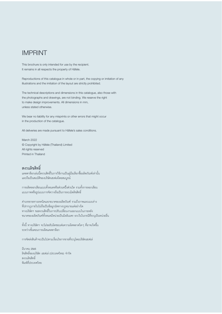### **IMPRINT**

This brochure is only intended for use by the recipient. It remains in all respects the property of Häfele.

Reproductions of this catalogue in whole or in part, the copying or imitation of any illustrations and the imitation of the layout are strictly prohibited.

The technical descriptions and dimensions in this catalogue, also those with the photographs and drawings, are not binding. We reserve the right to make design improvements. All dimensions in mm, unless stated otherwise.

We bear no liability for any misprints or other errors that might occur in the production of the catalogue.

All deliveries are made pursuant to Häfele's sales conditions.

March 2022 © Copyright by Häfele (Thailand) Limited All rights reserved Printed in Thailand

### สงวนลิขสิทธิ์

แคตตาล็อกเล่มนี้สงวนสิทธิ์ในการใช้งานเป็นคู่มือเลือกซื้อผลิตภัณฑ์เท่านั้น และถือเป็นสมบัติของบริษัทเฮเฟเล่โดยสมบูรณ์

ิการผลิตลอกเลียนแบบทั้งหมดหรือส่วนหนึ่งส่วนใด รวมทั้งการลอกเลียน แบบภาพหรือรูปแบบการจัดวางถือเป็นการละเมิดลิขสิทธิ์

คำบรรยายทางเทคนิคและขนาดของผลิตภัณฑ์ รวมถึงภาพและแบบร่าง ที่ปรากฏภายในไม่ถือเป็นข้อผูกมัดทางกฏหมายแต่อย่างใด ทางบริษัทฯ ขอสงวนสิทธิ์ในการปรับเปลี่ยนงานออกแบบในภายหลัง ขนาดของผลิตภัณฑ์ทั้งหมดมีหน่วยเป็นมิลลิเมตร ยกเว้นในกรณีที่ระบุเป็นหน่วยอื่น

้ทั้งนี้ ทางบริษัทฯ จะไม่ขอรับผิดชอบต่อความผิดพลาดใดๆ ที่อาจเกิดขึ้น ระหว่างขั้นตอนการผลิตแคตตาล็อก

การจัดส่งสินค้าจะเป็นไปตามเงื่อนไขการขายที่ระบุโดยบริษัทเฮเฟเล่

มีนาคม 2565 ้ลิขสิทธิ์ของบริษัท เฮเฟเล่ (ประเทศไทย) จำกัด สงวนลิขสิทธิ์ พิมพ์ที่ประเทศไทย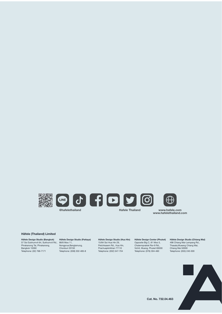



**@hafelethailand Matele Thailand Rafele Thailand** 





**www.hafele.com www.hafelethailand.com**

### **Häfele (Thailand) Limited**

**Häfele Design Studio (Bangkok)** 57 Soi Sukhumvit 64, Sukhumvit Rd., Phrakanong Tai, Phrakanong, 88/8 Moo 11, Bangkok 10260 Telephone: (02) 768-7171

**Häfele Design Studio (Pattaya)** Nongprue,Banglamung, Chonburi 20150 Telephone: (038) 332-485-8

**Häfele Design Studio (Hua Hin)** 15/84 Soi Hua Hin 29, Petchkasem Rd., Hua Hin,

Prachuapkirikhan 77110 Telephone: (032) 547-704 **Häfele Design Center (Phuket)** Opposite Big C, 81 Moo 5, Chalermprakiet Ror-9 Rd., Vichit, Muang, Phuket 83000 Telephone: (076) 304-460

**Häfele Design Studio (Chiang Mai)** 498 Chiang Mai-Lampang Rd., Thasala,Mueang Chiang Mai, Chiang Mai 50000 Telephone: (053) 240-300



**Cat. No. 732.04.463**